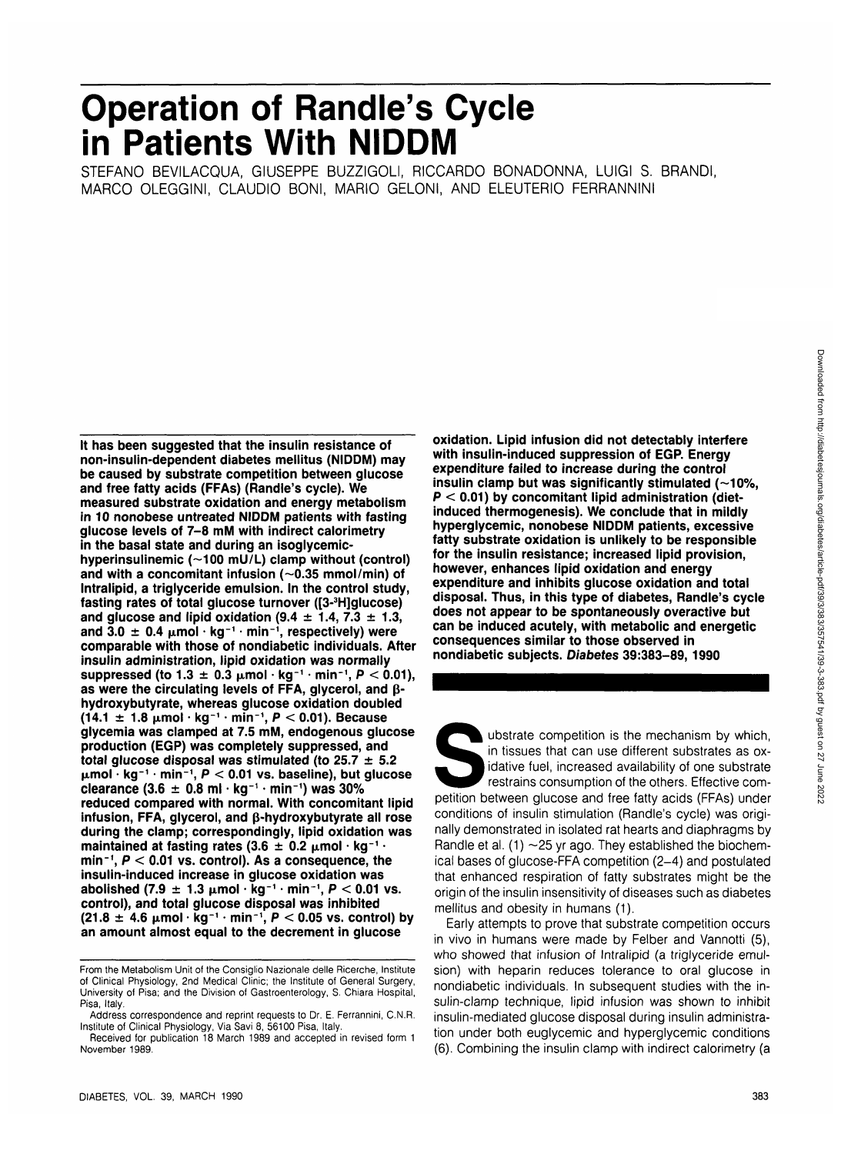# **Operation of Randle's Cycle in Patients With NIDDM**

STEFANO BEVILACQUA, GIUSEPPE BUZZIGOLI, RICCARDO BONADONNA, LUIGI S. BRANDI, MARCO OLEGGINI, CLAUDIO BONI, MARIO GELONI, AND ELEUTERIO FERRANNINI

**It has been suggested that the insulin resistance of non-insulin-dependent diabetes mellitus (NIDDM) may be caused by substrate competition between glucose and free fatty acids (FFAs) (Randle's cycle). We measured substrate oxidation and energy metabolism in 10 nonobese untreated NIDDM patients with fasting glucose levels of 7-8 mM with indirect calorimetry in the basal state and during an isoglycemic**hyperinsulinemic (~100 mU/L) clamp without (control) and with a concomitant infusion  $(-0.35 \text{ mmol/min})$  of **Intralipid, a triglyceride emulsion. In the control study, fasting rates of total glucose turnover ([3-3 H]glucose) and glucose and lipid oxidation (9.4 ± 1.4, 7.3 ± 1.3,** and 3.0  $\pm$  0.4  $\mu$ mol · kg<sup>-1</sup> · min<sup>-1</sup>, respectively) were **comparable with those of nondiabetic individuals. After insulin administration, lipid oxidation was normally suppressed (to 1.3 ± 0.3 jtmol • kg-<sup>1</sup> • min'<sup>1</sup> , P < 0.01),** as were the circulating levels of FFA, glycerol, and  $\beta$ **hydroxybutyrate, whereas glucose oxidation doubled (14.1 ±1. 8 jjimol • kg~1 • min"<sup>1</sup> , P < 0.01). Because glycemia was clamped at 7.5 mM, endogenous glucose production (EGP) was completely suppressed, and total glucose disposal was stimulated (to 25.7 ± 5.2 ixmol • kg- <sup>1</sup> • min-<sup>1</sup> , P < 0.01 vs. baseline), but glucose clearance (3.6 ± 0.8 ml • kg-<sup>1</sup> • min"1 ) was 30% reduced compared with normal. With concomitant lipid infusion, FFA, glycerol, and p-hydroxybutyrate all rose during the clamp; correspondingly, lipid oxidation was maintained at fasting rates (3.6**  $\pm$  **0.2**  $\mu$ **mol · kg<sup>-</sup> • min<sup>1</sup> , P < 0.01 vs. control). As a consequence, the insulin-induced increase in glucose oxidation was abolished (7.9 ±1. 3 ixmol • kg-<sup>1</sup> • min<sup>1</sup> , P < 0.01 vs. control), and total glucose disposal was inhibited (21.8 ± 4.6 ixmol • kg <sup>1</sup> • min<sup>1</sup> , P < 0.05 vs. control) by an amount almost equal to the decrement in glucose**

DIABETES, VOL. 39, MARCH 1990 383

**oxidation. Lipid infusion did not detectably interfere with insulin-induced suppression of EGP. Energy expenditure failed to increase during the control** insulin clamp but was significantly stimulated (~10%, **P < 0.01) by concomitant lipid administration (dietinduced thermogenesis). We conclude that in mildly hyperglycemic, nonobese NIDDM patients, excessive fatty substrate oxidation is unlikely to be responsible for the insulin resistance; increased lipid provision, however, enhances lipid oxidation and energy expenditure and inhibits glucose oxidation and total disposal. Thus, in this type of diabetes, Randle's cycle does not appear to be spontaneously overactive but can be induced acutely, with metabolic and energetic consequences similar to those observed in nondiabetic subjects. Diabetes 39:383-89,1990**

ubstrate competition is the mechanism by which,<br>in tissues that can use different substrates as ox-<br>idative fuel, increased availability of one substrate<br>restrains consumption of the others. Effective com-<br>petition between in tissues that can use different substrates as oxidative fuel, increased availability of one substrate restrains consumption of the others. Effective comconditions of insulin stimulation (Randle's cycle) was originally demonstrated in isolated rat hearts and diaphragms by Randle et al. (1)  $\sim$  25 yr ago. They established the biochemical bases of glucose-FFA competition (2-4) and postulated that enhanced respiration of fatty substrates might be the origin of the insulin insensitivity of diseases such as diabetes mellitus and obesity in humans (1).

Early attempts to prove that substrate competition occurs in vivo in humans were made by Felber and Vannotti (5), who showed that infusion of Intralipid (a triglyceride emulsion) with heparin reduces tolerance to oral glucose in nondiabetic individuals. In subsequent studies with the insulin-clamp technique, lipid infusion was shown to inhibit insulin-mediated glucose disposal during insulin administration under both euglycemic and hyperglycemic conditions (6). Combining the insulin clamp with indirect calorimetry (a

From the Metabolism Unit of the Consiglio Nazionale delle Ricerche, Institute of Clinical Physiology, 2nd Medical Clinic; the Institute of General Surgery, University of Pisa; and the Division of Gastroenterology, S. Chiara Hospital, Pisa, Italy.

Address correspondence and reprint requests to Dr. E. Ferrannini, C.N.R. Institute of Clinical Physiology, Via Savi 8, 56100 Pisa, Italy.

Received for publication 18 March 1989 and accepted in revised form 1 November 1989.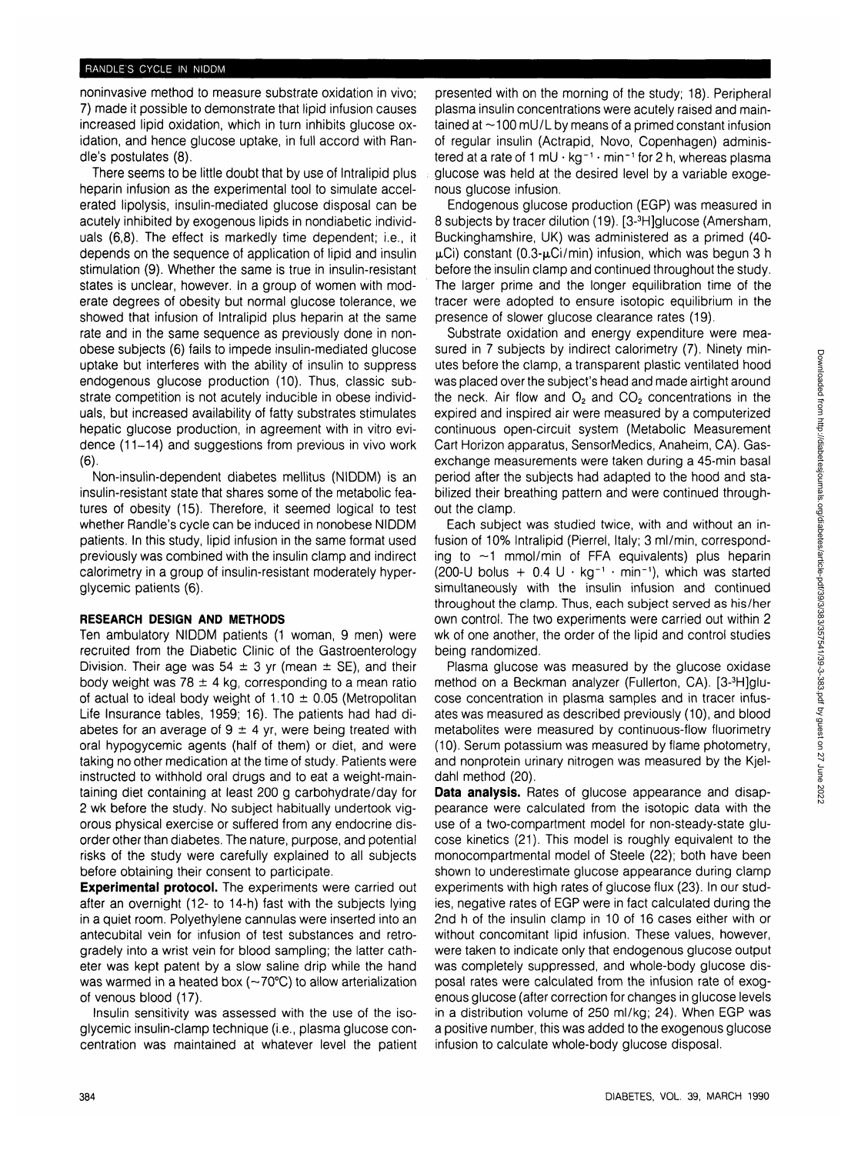## RANDLE'S CYCLE IN NIDDM

noninvasive method to measure substrate oxidation in vivo; 7) made it possible to demonstrate that lipid infusion causes increased lipid oxidation, which in turn inhibits glucose oxidation, and hence glucose uptake, in full accord with Randle's postulates (8).

There seems to be little doubt that by use of Intralipid plus heparin infusion as the experimental tool to simulate accelerated lipolysis, insulin-mediated glucose disposal can be acutely inhibited by exogenous lipids in nondiabetic individuals (6,8). The effect is markedly time dependent; i.e., it depends on the sequence of application of lipid and insulin stimulation (9). Whether the same is true in insulin-resistant states is unclear, however. In a group of women with moderate degrees of obesity but normal glucose tolerance, we showed that infusion of Intralipid plus heparin at the same rate and in the same sequence as previously done in nonobese subjects (6) fails to impede insulin-mediated glucose uptake but interferes with the ability of insulin to suppress endogenous glucose production (10). Thus, classic substrate competition is not acutely inducible in obese individuals, but increased availability of fatty substrates stimulates hepatic glucose production, in agreement with in vitro evidence (11-14) and suggestions from previous in vivo work  $(6)$ 

Non-insulin-dependent diabetes mellitus (NIDDM) is an insulin-resistant state that shares some of the metabolic features of obesity (15). Therefore, it seemed logical to test whether Randle's cycle can be induced in nonobese NIDDM patients. In this study, lipid infusion in the same format used previously was combined with the insulin clamp and indirect calorimetry in a group of insulin-resistant moderately hyperglycemic patients (6).

## **RESEARCH DESIGN AND METHODS**

Ten ambulatory NIDDM patients (1 woman, 9 men) were recruited from the Diabetic Clinic of the Gastroenterology Division. Their age was 54  $\pm$  3 yr (mean  $\pm$  SE), and their body weight was 78  $\pm$  4 kg, corresponding to a mean ratio of actual to ideal body weight of  $1.10 \pm 0.05$  (Metropolitan Life Insurance tables, 1959; 16). The patients had had diabetes for an average of  $9 \pm 4$  yr, were being treated with oral hypogycemic agents (half of them) or diet, and were taking no other medication at the time of study. Patients were instructed to withhold oral drugs and to eat a weight-maintaining diet containing at least 200 g carbohydrate/day for 2 wk before the study. No subject habitually undertook vigorous physical exercise or suffered from any endocrine disorder other than diabetes. The nature, purpose, and potential risks of the study were carefully explained to all subjects before obtaining their consent to participate.

**Experimental protocol.** The experiments were carried out after an overnight (12- to 14-h) fast with the subjects lying in a quiet room. Polyethylene cannulas were inserted into an antecubital vein for infusion of test substances and retrogradely into a wrist vein for blood sampling; the latter catheter was kept patent by a slow saline drip while the hand was warmed in a heated box (~70°C) to allow arterialization of venous blood (17).

Insulin sensitivity was assessed with the use of the isoglycemic insulin-clamp technique (i.e., plasma glucose concentration was maintained at whatever level the patient presented with on the morning of the study; 18). Peripheral plasma insulin concentrations were acutely raised and maintained at  $\sim$  100 mU/L by means of a primed constant infusion of regular insulin (Actrapid, Novo, Copenhagen) administered at a rate of 1 mU  $\cdot$  kg<sup>-1</sup>  $\cdot$  min<sup>-1</sup> for 2 h, whereas plasma glucose was held at the desired level by a variable exogenous glucose infusion.

Endogenous glucose production (EGP) was measured in 8 subjects by tracer dilution (19). [3-<sup>3</sup> H]glucose (Amersham, Buckinghamshire, UK) was administered as a primed (40-  $\mu$ Ci) constant (0.3- $\mu$ Ci/min) infusion, which was begun 3 h before the insulin clamp and continued throughout the study. The larger prime and the longer equilibration time of the tracer were adopted to ensure isotopic equilibrium in the presence of slower glucose clearance rates (19).

Substrate oxidation and energy expenditure were measured in 7 subjects by indirect calorimetry (7). Ninety minutes before the clamp, a transparent plastic ventilated hood was placed over the subject's head and made airtight around the neck. Air flow and  $O_2$  and  $CO_2$  concentrations in the expired and inspired air were measured by a computerized continuous open-circuit system (Metabolic Measurement Cart Horizon apparatus, SensorMedics, Anaheim, CA). Gasexchange measurements were taken during a 45-min basal period after the subjects had adapted to the hood and stabilized their breathing pattern and were continued throughout the clamp.

Each subject was studied twice, with and without an infusion of 10% Intralipid (Pierrel, Italy; 3 ml/min, corresponding to  $\sim$ 1 mmol/min of FFA equivalents) plus heparin (200-U bolus +  $0.4$  U  $\cdot$  kg<sup>-1</sup>  $\cdot$  min<sup>-1</sup>), which was started simultaneously with the insulin infusion and continued throughout the clamp. Thus, each subject served as his/her own control. The two experiments were carried out within 2 wk of one another, the order of the lipid and control studies being randomized.

Plasma glucose was measured by the glucose oxidase method on a Beckman analyzer (Fullerton, CA). [3-<sup>3</sup>H]glucose concentration in plasma samples and in tracer infusates was measured as described previously (10), and blood metabolites were measured by continuous-flow fluorimetry (10). Serum potassium was measured by flame photometry, and nonprotein urinary nitrogen was measured by the Kjeldahl method (20).

**Data analysis.** Rates of glucose appearance and disappearance were calculated from the isotopic data with the use of a two-compartment model for non-steady-state glucose kinetics (21). This model is roughly equivalent to the monocompartmental model of Steele (22); both have been shown to underestimate glucose appearance during clamp experiments with high rates of glucose flux (23). In our studies, negative rates of EGP were in fact calculated during the 2nd h of the insulin clamp in 10 of 16 cases either with or without concomitant lipid infusion. These values, however, were taken to indicate only that endogenous glucose output was completely suppressed, and whole-body glucose disposal rates were calculated from the infusion rate of exogenous glucose (after correction for changes in glucose levels in a distribution volume of 250 ml/kg; 24). When EGP was a positive number, this was added to the exogenous glucose infusion to calculate whole-body glucose disposal.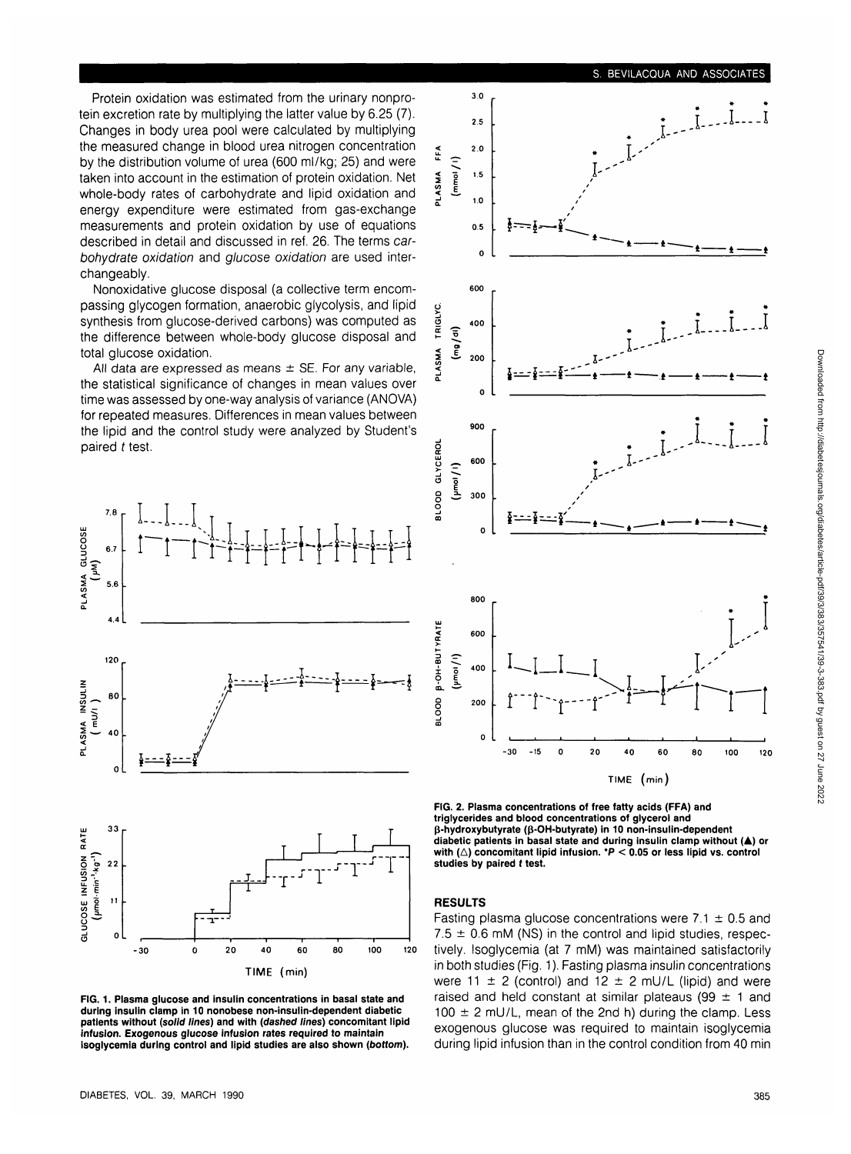Protein oxidation was estimated from the urinary nonprotein excretion rate by multiplying the latter value by 6.25 (7). Changes in body urea pool were calculated by multiplying the measured change in blood urea nitrogen concentration by the distribution volume of urea (600 ml/kg; 25) and were taken into account in the estimation of protein oxidation. Net whole-body rates of carbohydrate and lipid oxidation and energy expenditure were estimated from gas-exchange measurements and protein oxidation by use of equations described in detail and discussed in ref. 26. The terms carbohydrate oxidation and glucose oxidation are used interchangeably.

Nonoxidative glucose disposal (a collective term encompassing glycogen formation, anaerobic glycolysis, and lipid synthesis from glucose-derived carbons) was computed as the difference between whole-body glucose disposal and total glucose oxidation.

All data are expressed as means  $\pm$  SE. For any variable, the statistical significance of changes in mean values over time was assessed by one-way analysis of variance (ANOVA) for repeated measures. Differences in mean values between the lipid and the control study were analyzed by Student's paired t test.



**FIG. 1. Plasma glucose and insulin concentrations in basal state and during insulin clamp in 10 nonobese non-insulin-dependent diabetic patients without (solid lines) and with {dashed lines) concomitant lipid infusion. Exogenous glucose infusion rates required to maintain isoglycemia during control and lipid studies are also shown (bottom).**



**TIME (min) FIG. 2. Plasma concentrations of free fatty acids (FFA) and triglycerides and blood concentrations of glycerol and**

**p-hydroxybutyrate (p-OH-butyrate) in 10 non-insulin-dependent diabetic patients in basal state and during insulin clamp without (A) or** with  $(\triangle)$  concomitant lipid infusion.  $\mathbb{R}$  < 0.05 or less lipid vs. control **studies by paired t test.**

## **RESULTS**

Fasting plasma glucose concentrations were  $7.1 \pm 0.5$  and  $7.5 \pm 0.6$  mM (NS) in the control and lipid studies, respectively. Isoglycemia (at 7 mM) was maintained satisfactorily in both studies (Fig. 1). Fasting plasma insulin concentrations were 11  $\pm$  2 (control) and 12  $\pm$  2 mU/L (lipid) and were raised and held constant at similar plateaus (99  $\pm$  1 and  $100 \pm 2$  mU/L, mean of the 2nd h) during the clamp. Less exogenous glucose was required to maintain isoglycemia during lipid infusion than in the control condition from 40 min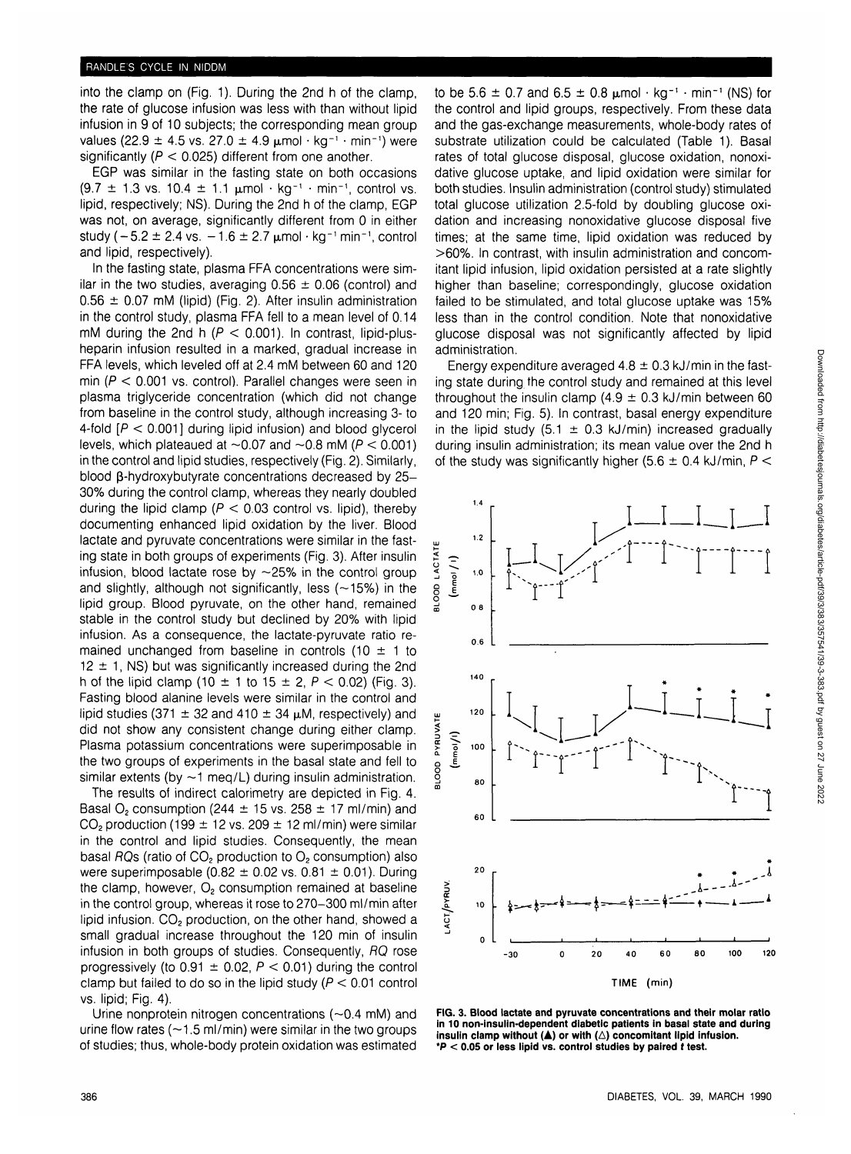into the clamp on (Fig. 1). During the 2nd h of the clamp, the rate of glucose infusion was less with than without lipid infusion in 9 of 10 subjects; the corresponding mean group values (22.9  $\pm$  4.5 vs. 27.0  $\pm$  4.9  $\mu$ mol · kg<sup>-1</sup> · min<sup>-1</sup>) were significantly ( $P < 0.025$ ) different from one another.

EGP was similar in the fasting state on both occasions  $(9.7 \pm 1.3 \text{ vs. } 10.4 \pm 1.1 \text{ }\mu\text{mol} \cdot \text{kg}^{-1} \cdot \text{min}^{-1}, \text{ control vs. }$ lipid, respectively; NS). During the 2nd h of the clamp, EGP was not, on average, significantly different from 0 in either study ( $-5.2 \pm 2.4$  vs.  $-1.6 \pm 2.7$   $\mu$ mol·kg<sup>-1</sup> min<sup>-1</sup>, control and lipid, respectively).

In the fasting state, plasma FFA concentrations were similar in the two studies, averaging  $0.56 \pm 0.06$  (control) and  $0.56 \pm 0.07$  mM (lipid) (Fig. 2). After insulin administration in the control study, plasma FFA fell to a mean level of 0.14 mM during the 2nd h ( $P < 0.001$ ). In contrast, lipid-plusheparin infusion resulted in a marked, gradual increase in FFA levels, which leveled off at 2.4 mM between 60 and 120 min ( $P < 0.001$  vs. control). Parallel changes were seen in plasma triglyceride concentration (which did not change from baseline in the control study, although increasing 3- to 4-fold  $[P < 0.001]$  during lipid infusion) and blood glycerol levels, which plateaued at  $\sim$  0.07 and  $\sim$  0.8 mM ( $P < 0.001$ ) in the control and lipid studies, respectively (Fig. 2). Similarly, blood  $\beta$ -hydroxybutyrate concentrations decreased by 25-30% during the control clamp, whereas they nearly doubled during the lipid clamp ( $P < 0.03$  control vs. lipid), thereby documenting enhanced lipid oxidation by the liver. Blood lactate and pyruvate concentrations were similar in the fasting state in both groups of experiments (Fig. 3). After insulin infusion, blood lactate rose by  $\sim$  25% in the control group and slightly, although not significantly, less  $(-15%)$  in the lipid group. Blood pyruvate, on the other hand, remained stable in the control study but declined by 20% with lipid infusion. As a consequence, the lactate-pyruvate ratio remained unchanged from baseline in controls (10  $\pm$  1 to  $12 \pm 1$ , NS) but was significantly increased during the 2nd h of the lipid clamp (10  $\pm$  1 to 15  $\pm$  2, P < 0.02) (Fig. 3). Fasting blood alanine levels were similar in the control and lipid studies (371  $\pm$  32 and 410  $\pm$  34  $\mu$ M, respectively) and did not show any consistent change during either clamp. Plasma potassium concentrations were superimposable in the two groups of experiments in the basal state and fell to similar extents (by  $\sim$  1 meg/L) during insulin administration.

The results of indirect calorimetry are depicted in Fig. 4. Basal O<sub>2</sub> consumption (244  $\pm$  15 vs. 258  $\pm$  17 ml/min) and  $CO<sub>2</sub>$  production (199  $\pm$  12 vs. 209  $\pm$  12 ml/min) were similar in the control and lipid studies. Consequently, the mean basal RQs (ratio of  $CO<sub>2</sub>$  production to  $O<sub>2</sub>$  consumption) also were superimposable (0.82  $\pm$  0.02 vs. 0.81  $\pm$  0.01). During the clamp, however,  $O<sub>2</sub>$  consumption remained at baseline in the control group, whereas it rose to 270-300 ml/min after lipid infusion.  $CO<sub>2</sub>$  production, on the other hand, showed a small gradual increase throughout the 120 min of insulin infusion in both groups of studies. Consequently, RQ rose progressively (to  $0.91 \pm 0.02$ ,  $P < 0.01$ ) during the control clamp but failed to do so in the lipid study ( $P < 0.01$  control vs. lipid; Fig. 4).

Urine nonprotein nitrogen concentrations (—0.4 mM) and urine flow rates ( $\sim$ 1.5 ml/min) were similar in the two groups of studies; thus, whole-body protein oxidation was estimated

to be 5.6  $\pm$  0.7 and 6.5  $\pm$  0.8  $\mu$ mol  $\cdot$  kg<sup>-1</sup>  $\cdot$  min<sup>-1</sup> (NS) for the control and lipid groups, respectively. From these data and the gas-exchange measurements, whole-body rates of substrate utilization could be calculated (Table 1). Basal rates of total glucose disposal, glucose oxidation, nonoxidative glucose uptake, and lipid oxidation were similar for both studies. Insulin administration (control study) stimulated total glucose utilization 2.5-fold by doubling glucose oxidation and increasing nonoxidative glucose disposal five times; at the same time, lipid oxidation was reduced by >60%. In contrast, with insulin administration and concomitant lipid infusion, lipid oxidation persisted at a rate slightly higher than baseline; correspondingly, glucose oxidation failed to be stimulated, and total glucose uptake was 15% less than in the control condition. Note that nonoxidative glucose disposal was not significantly affected by lipid administration.

Energy expenditure averaged  $4.8 \pm 0.3$  kJ/min in the fasting state during the control study and remained at this level throughout the insulin clamp (4.9  $\pm$  0.3 kJ/min between 60 and 120 min; Fig. 5). In contrast, basal energy expenditure in the lipid study (5.1  $\pm$  0.3 kJ/min) increased gradually during insulin administration; its mean value over the 2nd h of the study was significantly higher (5.6  $\pm$  0.4 kJ/min, P <



**FIG. 3. Blood lactate and pyruvate concentrations and their molar ratio in 10 non-insulin-dependent diabetic patients in basal state and during** insulin clamp without  $(A)$  or with  $(\triangle)$  concomitant lipid infusion. **\*P < 0.05 or less lipid vs. control studies by paired t test.**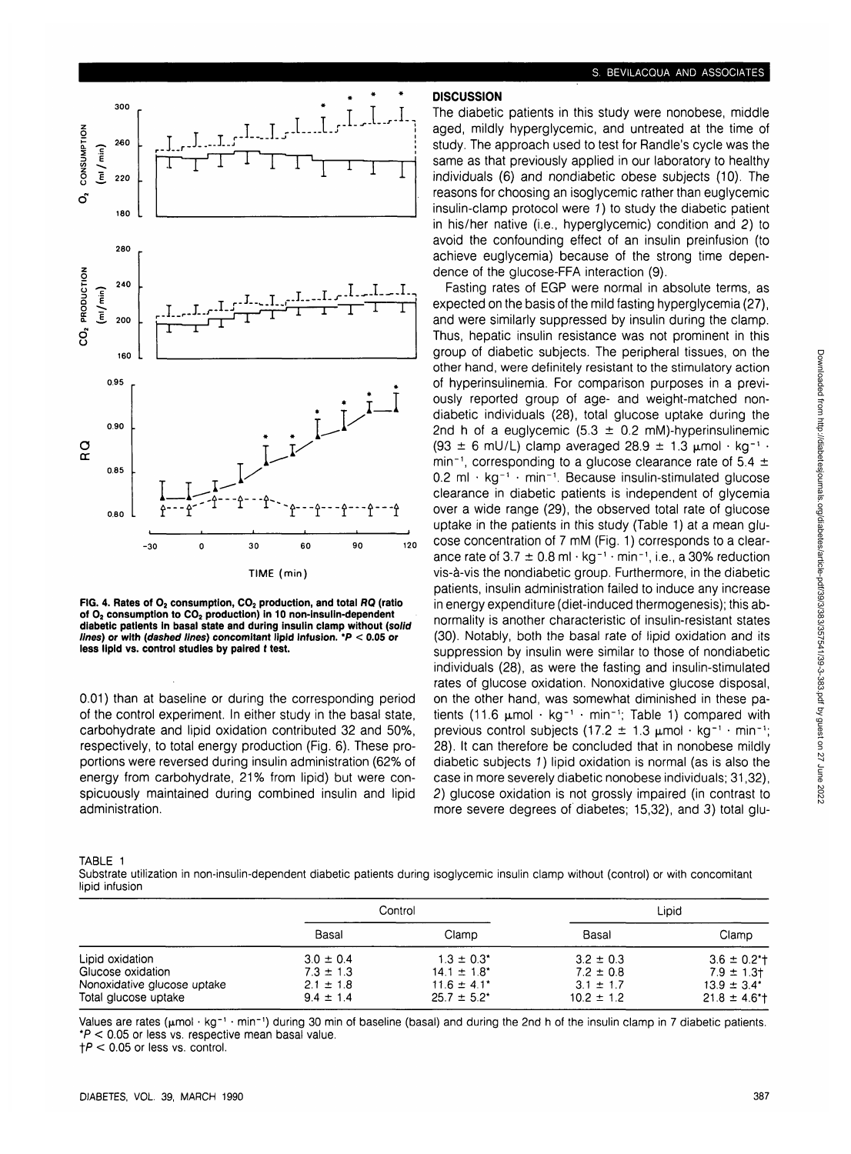

**FIG. 4. Rates of O2 consumption, CO2 production, and total RQ (ratio** of O<sub>2</sub> consumption to CO<sub>2</sub> production) in 10 non-insulin-dependent **diabetic patients in basal state and during insulin clamp without (solid lines) or with (dashed lines) concomitant lipid infusion. \*P < 0.05 or less lipid vs. control studies by paired t test.**

0.01) than at baseline or during the corresponding period of the control experiment. In either study in the basal state, carbohydrate and lipid oxidation contributed 32 and 50%, respectively, to total energy production (Fig. 6). These proportions were reversed during insulin administration (62% of energy from carbohydrate, 21% from lipid) but were conspicuously maintained during combined insulin and lipid administration.

#### S. BEVILACQUA AND ASSOCIATES

# **DISCUSSION**

The diabetic patients in this study were nonobese, middle aged, mildly hyperglycemic, and untreated at the time of study. The approach used to test for Randle's cycle was the same as that previously applied in our laboratory to healthy individuals (6) and nondiabetic obese subjects (10). The reasons for choosing an isoglycemic rather than euglycemic insulin-clamp protocol were 1) to study the diabetic patient in his/her native (i.e., hyperglycemic) condition and 2) to avoid the confounding effect of an insulin preinfusion (to achieve euglycemia) because of the strong time dependence of the glucose-FFA interaction (9).

Fasting rates of EGP were normal in absolute terms, as expected on the basis of the mild fasting hyperglycemia (27), and were similarly suppressed by insulin during the clamp. Thus, hepatic insulin resistance was not prominent in this group of diabetic subjects. The peripheral tissues, on the other hand, were definitely resistant to the stimulatory action of hyperinsulinemia. For comparison purposes in a previously reported group of age- and weight-matched nondiabetic individuals (28), total glucose uptake during the 2nd h of a euglycemic  $(5.3 \pm 0.2 \text{ mM})$ -hyperinsulinemic  $(93 \pm 6 \text{ mU/L})$  clamp averaged  $28.9 \pm 1.3 \text{ }\mu\text{mol} \cdot \text{kg}^{-1}$ . min<sup>-1</sup>, corresponding to a glucose clearance rate of 5.4  $\pm$  $0.2$  ml  $\cdot$  kg<sup>-1</sup>  $\cdot$  min<sup>-1</sup>. Because insulin-stimulated glucose clearance in diabetic patients is independent of glycemia over a wide range (29), the observed total rate of glucose uptake in the patients in this study (Table 1) at a mean glucose concentration of 7 mM (Fig. 1) corresponds to a clearance rate of 3.7  $\pm$  0.8 ml  $\cdot$  kg<sup>-1</sup>  $\cdot$  min<sup>-1</sup>, i.e., a 30% reduction vis-a-vis the nondiabetic group. Furthermore, in the diabetic patients, insulin administration failed to induce any increase in energy expenditure (diet-induced thermogenesis); this abnormality is another characteristic of insulin-resistant states (30). Notably, both the basal rate of lipid oxidation and its suppression by insulin were similar to those of nondiabetic individuals (28), as were the fasting and insulin-stimulated rates of glucose oxidation. Nonoxidative glucose disposal, on the other hand, was somewhat diminished in these patients (11.6  $\mu$ mol · kg<sup>-1</sup> · min<sup>-1</sup>; Table 1) compared with previous control subjects (17.2  $\pm$  1.3 umol  $\cdot$  kg<sup>-1</sup>  $\cdot$  min<sup>-1</sup>: 28). It can therefore be concluded that in nonobese mildly diabetic subjects 1) lipid oxidation is normal (as is also the case in more severely diabetic nonobese individuals; 31,32), 2) glucose oxidation is not grossly impaired (in contrast to more severe degrees of diabetes; 15,32), and 3) total glu-

|--|--|

Substrate utilization in non-insulin-dependent diabetic patients during isoglycemic insulin clamp without (control) or with concomitant lipid infusion

|                                                                                             | Control                                                          |                                                                             |                                                                   | Lipid                                                                                              |
|---------------------------------------------------------------------------------------------|------------------------------------------------------------------|-----------------------------------------------------------------------------|-------------------------------------------------------------------|----------------------------------------------------------------------------------------------------|
|                                                                                             | Basal                                                            | Clamp                                                                       | Basal                                                             | Clamp                                                                                              |
| Lipid oxidation<br>Glucose oxidation<br>Nonoxidative glucose uptake<br>Total glucose uptake | $3.0 \pm 0.4$<br>$7.3 \pm 1.3$<br>$2.1 \pm 1.8$<br>$9.4 \pm 1.4$ | $1.3 \pm 0.3^*$<br>$14.1 \pm 1.8^*$<br>$11.6 \pm 4.1^*$<br>$25.7 \pm 5.2^*$ | $3.2 \pm 0.3$<br>$7.2 \pm 0.8$<br>$3.1 \pm 1.7$<br>$10.2 \pm 1.2$ | $3.6 \pm 0.2$ <sup>*</sup> t<br>$7.9 \pm 1.3$<br>$13.9 \pm 3.4^*$<br>$21.8 \pm 4.6$ <sup>*</sup> t |

Values are rates (µmol · kg<sup>-1</sup> · min<sup>-1</sup>) during 30 min of baseline (basal) and during the 2nd h of the insulin clamp in 7 diabetic patients. \*P < 0.05 or less vs. respective mean basal value.

 $\uparrow$  P < 0.05 or less vs. control.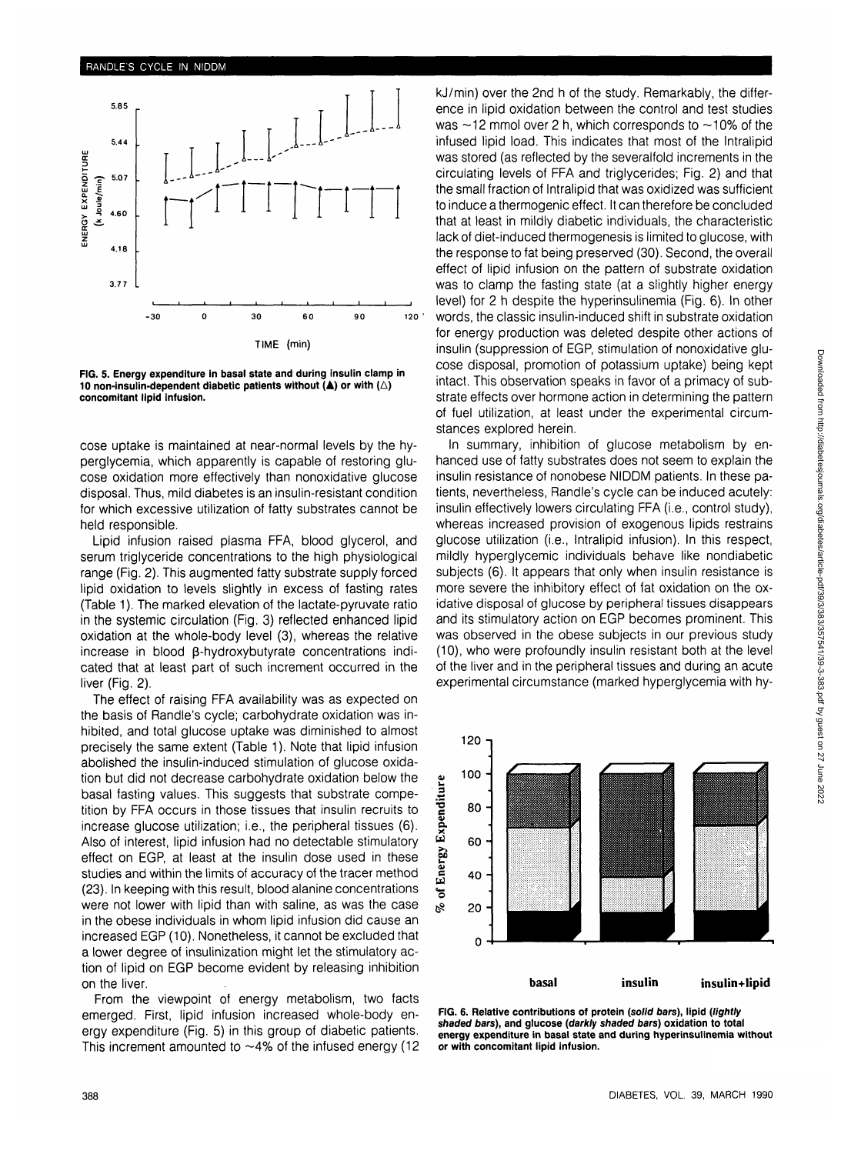

**FIG. 5. Energy expenditure in basal state and during insulin clamp in 10 non-insulin-dependent diabetic patients without**  $(A)$  **or with**  $(\triangle)$ **concomitant lipid infusion.**

cose uptake is maintained at near-normal levels by the hyperglycemia, which apparently is capable of restoring glucose oxidation more effectively than nonoxidative glucose disposal. Thus, mild diabetes is an insulin-resistant condition for which excessive utilization of fatty substrates cannot be held responsible.

Lipid infusion raised plasma FFA, blood glycerol, and serum triglyceride concentrations to the high physiological range (Fig. 2). This augmented fatty substrate supply forced lipid oxidation to levels slightly in excess of fasting rates (Table 1). The marked elevation of the lactate-pyruvate ratio in the systemic circulation (Fig. 3) reflected enhanced lipid oxidation at the whole-body level (3), whereas the relative increase in blood  $\beta$ -hydroxybutyrate concentrations indicated that at least part of such increment occurred in the liver (Fig. 2).

The effect of raising FFA availability was as expected on the basis of Randle's cycle; carbohydrate oxidation was inhibited, and total glucose uptake was diminished to almost precisely the same extent (Table 1). Note that lipid infusion abolished the insulin-induced stimulation of glucose oxidation but did not decrease carbohydrate oxidation below the basal fasting values. This suggests that substrate competition by FFA occurs in those tissues that insulin recruits to increase glucose utilization; i.e., the peripheral tissues (6). Also of interest, lipid infusion had no detectable stimulatory effect on EGP, at least at the insulin dose used in these studies and within the limits of accuracy of the tracer method (23). In keeping with this result, blood alanine concentrations were not lower with lipid than with saline, as was the case in the obese individuals in whom lipid infusion did cause an increased EGP (10). Nonetheless, it cannot be excluded that a lower degree of insulinization might let the stimulatory action of lipid on EGP become evident by releasing inhibition on the liver.

From the viewpoint of energy metabolism, two facts emerged. First, lipid infusion increased whole-body energy expenditure (Fig. 5) in this group of diabetic patients. This increment amounted to  $\sim$ 4% of the infused energy (12 kj/min) over the 2nd h of the study. Remarkably, the difference in lipid oxidation between the control and test studies was  $\sim$ 12 mmol over 2 h, which corresponds to  $\sim$ 10% of the infused lipid load. This indicates that most of the Intralipid was stored (as reflected by the severalfold increments in the circulating levels of FFA and triglycerides; Fig. 2) and that the small fraction of Intralipid that was oxidized was sufficient to induce a thermogenic effect. It can therefore be concluded that at least in mildly diabetic individuals, the characteristic lack of diet-induced thermogenesis is limited to glucose, with the response to fat being preserved (30). Second, the overall effect of lipid infusion on the pattern of substrate oxidation was to clamp the fasting state (at a slightly higher energy level) for 2 h despite the hyperinsulinemia (Fig. 6). In other words, the classic insulin-induced shift in substrate oxidation for energy production was deleted despite other actions of insulin (suppression of EGP, stimulation of nonoxidative glucose disposal, promotion of potassium uptake) being kept intact. This observation speaks in favor of a primacy of substrate effects over hormone action in determining the pattern of fuel utilization, at least under the experimental circumstances explored herein.

In summary, inhibition of glucose metabolism by enhanced use of fatty substrates does not seem to explain the insulin resistance of nonobese NIDDM patients. In these patients, nevertheless, Randle's cycle can be induced acutely: insulin effectively lowers circulating FFA (i.e., control study), whereas increased provision of exogenous lipids restrains glucose utilization (i.e., Intralipid infusion). In this respect, mildly hyperglycemic individuals behave like nondiabetic subjects (6). It appears that only when insulin resistance is more severe the inhibitory effect of fat oxidation on the oxidative disposal of glucose by peripheral tissues disappears and its stimulatory action on EGP becomes prominent. This was observed in the obese subjects in our previous study (10), who were profoundly insulin resistant both at the level of the liver and in the peripheral tissues and during an acute experimental circumstance (marked hyperglycemia with hy-



**FIG. 6. Relative contributions of protein (solid bars), lipid (lightly shaded bars), and glucose (darkly shaded bars) oxidation to total energy expenditure in basal state and during hyperinsulinemia without or with concomitant lipid infusion.**